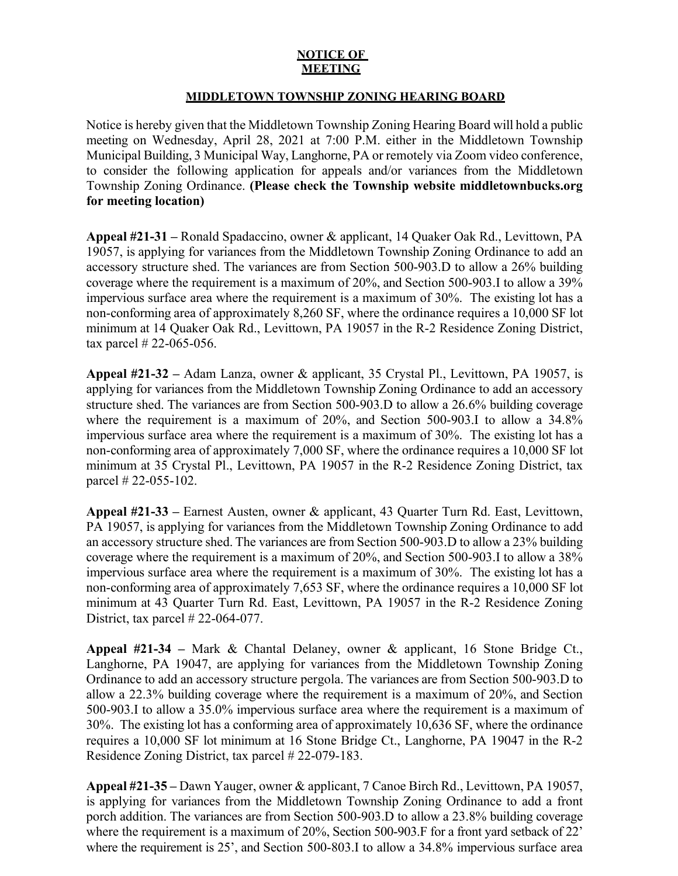## **NOTICE OF MEETING**

## **MIDDLETOWN TOWNSHIP ZONING HEARING BOARD**

Notice is hereby given that the Middletown Township Zoning Hearing Board will hold a public meeting on Wednesday, April 28, 2021 at 7:00 P.M. either in the Middletown Township Municipal Building, 3 Municipal Way, Langhorne, PA or remotely via Zoom video conference, to consider the following application for appeals and/or variances from the Middletown Township Zoning Ordinance. **(Please check the Township website middletownbucks.org for meeting location)** 

**Appeal #21-31 –** Ronald Spadaccino, owner & applicant, 14 Quaker Oak Rd., Levittown, PA 19057, is applying for variances from the Middletown Township Zoning Ordinance to add an accessory structure shed. The variances are from Section 500-903.D to allow a 26% building coverage where the requirement is a maximum of 20%, and Section 500-903.I to allow a 39% impervious surface area where the requirement is a maximum of 30%. The existing lot has a non-conforming area of approximately 8,260 SF, where the ordinance requires a 10,000 SF lot minimum at 14 Quaker Oak Rd., Levittown, PA 19057 in the R-2 Residence Zoning District, tax parcel # 22-065-056.

**Appeal #21-32 –** Adam Lanza, owner & applicant, 35 Crystal Pl., Levittown, PA 19057, is applying for variances from the Middletown Township Zoning Ordinance to add an accessory structure shed. The variances are from Section 500-903.D to allow a 26.6% building coverage where the requirement is a maximum of 20%, and Section 500-903.I to allow a 34.8% impervious surface area where the requirement is a maximum of 30%. The existing lot has a non-conforming area of approximately 7,000 SF, where the ordinance requires a 10,000 SF lot minimum at 35 Crystal Pl., Levittown, PA 19057 in the R-2 Residence Zoning District, tax parcel # 22-055-102.

**Appeal #21-33 –** Earnest Austen, owner & applicant, 43 Quarter Turn Rd. East, Levittown, PA 19057, is applying for variances from the Middletown Township Zoning Ordinance to add an accessory structure shed. The variances are from Section 500-903.D to allow a 23% building coverage where the requirement is a maximum of 20%, and Section 500-903.I to allow a 38% impervious surface area where the requirement is a maximum of 30%. The existing lot has a non-conforming area of approximately 7,653 SF, where the ordinance requires a 10,000 SF lot minimum at 43 Quarter Turn Rd. East, Levittown, PA 19057 in the R-2 Residence Zoning District, tax parcel # 22-064-077.

**Appeal #21-34 –** Mark & Chantal Delaney, owner & applicant, 16 Stone Bridge Ct., Langhorne, PA 19047, are applying for variances from the Middletown Township Zoning Ordinance to add an accessory structure pergola. The variances are from Section 500-903.D to allow a 22.3% building coverage where the requirement is a maximum of 20%, and Section 500-903.I to allow a 35.0% impervious surface area where the requirement is a maximum of 30%. The existing lot has a conforming area of approximately 10,636 SF, where the ordinance requires a 10,000 SF lot minimum at 16 Stone Bridge Ct., Langhorne, PA 19047 in the R-2 Residence Zoning District, tax parcel # 22-079-183.

**Appeal #21-35 –** Dawn Yauger, owner & applicant, 7 Canoe Birch Rd., Levittown, PA 19057, is applying for variances from the Middletown Township Zoning Ordinance to add a front porch addition. The variances are from Section 500-903.D to allow a 23.8% building coverage where the requirement is a maximum of 20%, Section 500-903.F for a front yard setback of 22' where the requirement is 25', and Section 500-803.I to allow a 34.8% impervious surface area